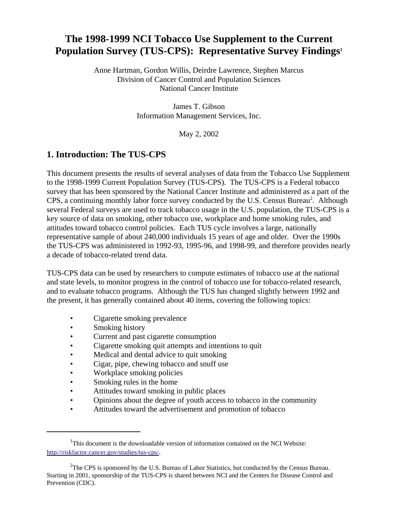# **The 1998-1999 NCI Tobacco Use Supplement to the Current Population Survey (TUS-CPS): Representative Survey Findings1**

Anne Hartman, Gordon Willis, Deirdre Lawrence, Stephen Marcus Division of Cancer Control and Population Sciences National Cancer Institute

> James T. Gibson Information Management Services, Inc.

> > May 2, 2002

## **1. Introduction: The TUS-CPS**

This document presents the results of several analyses of data from the Tobacco Use Supplement to the 1998-1999 Current Population Survey (TUS-CPS). The TUS-CPS is a Federal tobacco survey that has been sponsored by the National Cancer Institute and administered as a part of the CPS, a continuing monthly labor force survey conducted by the U.S. Census Bureau<sup>2</sup>. Although several Federal surveys are used to track tobacco usage in the U.S. population, the TUS-CPS is a key source of data on smoking, other tobacco use, workplace and home smoking rules, and attitudes toward tobacco control policies. Each TUS cycle involves a large, nationally representative sample of about 240,000 individuals 15 years of age and older. Over the 1990s the TUS-CPS was administered in 1992-93, 1995-96, and 1998-99, and therefore provides nearly a decade of tobacco-related trend data.

TUS-CPS data can be used by researchers to compute estimates of tobacco use at the national and state levels, to monitor progress in the control of tobacco use for tobacco-related research, and to evaluate tobacco programs. Although the TUS has changed slightly between 1992 and the present, it has generally contained about 40 items, covering the following topics:

- Cigarette smoking prevalence
- Smoking history
- Current and past cigarette consumption
- Cigarette smoking quit attempts and intentions to quit
- Medical and dental advice to quit smoking
- Cigar, pipe, chewing tobacco and snuff use
- Workplace smoking policies
- Smoking rules in the home
- Attitudes toward smoking in public places
- Opinions about the degree of youth access to tobacco in the community
- Attitudes toward the advertisement and promotion of tobacco

<sup>&</sup>lt;sup>1</sup>This document is the downloadable version of information contained on the NCI Website: http://riskfactor.cancer.gov/studies/tus-cps/.

 $2$ The CPS is sponsored by the U.S. Bureau of Labor Statistics, but conducted by the Census Bureau. Starting in 2001, sponsorship of the TUS-CPS is shared between NCI and the Centers for Disease Control and Prevention (CDC).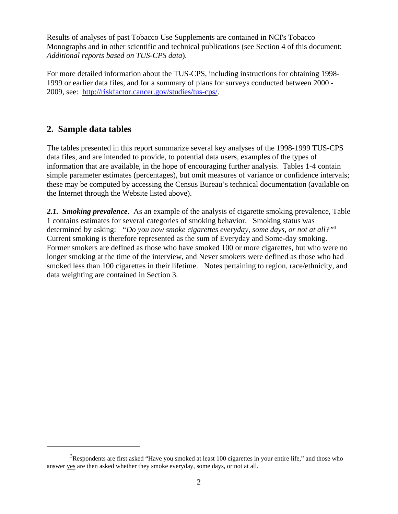Results of analyses of past Tobacco Use Supplements are contained in NCI's Tobacco Monographs and in other scientific and technical publications (see Section 4 of this document: *Additional reports based on TUS-CPS data*).

For more detailed information about the TUS-CPS, including instructions for obtaining 1998- 1999 or earlier data files, and for a summary of plans for surveys conducted between 2000 - 2009, see: http://riskfactor.cancer.gov/studies/tus-cps/.

### **2. Sample data tables**

The tables presented in this report summarize several key analyses of the 1998-1999 TUS-CPS data files, and are intended to provide, to potential data users, examples of the types of information that are available, in the hope of encouraging further analysis. Tables 1-4 contain simple parameter estimates (percentages), but omit measures of variance or confidence intervals; these may be computed by accessing the Census Bureau's technical documentation (available on the Internet through the Website listed above).

*2.1. Smoking prevalence*. As an example of the analysis of cigarette smoking prevalence, Table 1 contains estimates for several categories of smoking behavior. Smoking status was determined by asking: *"Do you now smoke cigarettes everyday, some days, or not at all?"3* Current smoking is therefore represented as the sum of Everyday and Some-day smoking. Former smokers are defined as those who have smoked 100 or more cigarettes, but who were no longer smoking at the time of the interview, and Never smokers were defined as those who had smoked less than 100 cigarettes in their lifetime. Notes pertaining to region, race/ethnicity, and data weighting are contained in Section 3.

 $3$ Respondents are first asked "Have you smoked at least 100 cigarettes in your entire life," and those who answer yes are then asked whether they smoke everyday, some days, or not at all.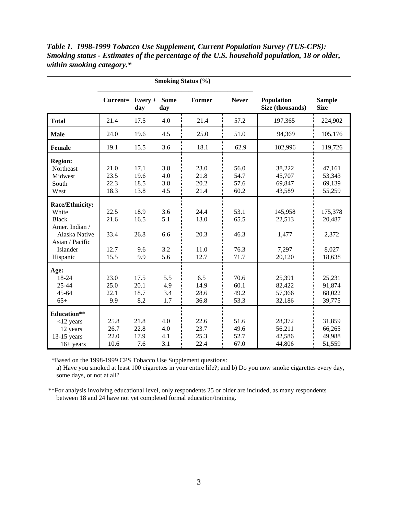|                 | <b>Smoking Status (%)</b> |      |                    |        |              |                                |                              |
|-----------------|---------------------------|------|--------------------|--------|--------------|--------------------------------|------------------------------|
|                 | $Current = Every +$       | day  | <b>Some</b><br>day | Former | <b>Never</b> | Population<br>Size (thousands) | <b>Sample</b><br><b>Size</b> |
| <b>Total</b>    | 21.4                      | 17.5 | 4.0                | 21.4   | 57.2         | 197,365                        | 224,902                      |
| <b>Male</b>     | 24.0                      | 19.6 | 4.5                | 25.0   | 51.0         | 94,369                         | 105,176                      |
| <b>Female</b>   | 19.1                      | 15.5 | 3.6                | 18.1   | 62.9         | 102,996                        | 119,726                      |
| <b>Region:</b>  |                           |      |                    |        |              |                                |                              |
| Northeast       | 21.0                      | 17.1 | 3.8                | 23.0   | 56.0         | 38,222                         | 47,161                       |
| Midwest         | 23.5                      | 19.6 | 4.0                | 21.8   | 54.7         | 45,707                         | 53,343                       |
| South           | 22.3                      | 18.5 | 3.8                | 20.2   | 57.6         | 69,847                         | 69,139                       |
| West            | 18.3                      | 13.8 | 4.5                | 21.4   | 60.2         | 43,589                         | 55,259                       |
| Race/Ethnicity: |                           |      |                    |        |              |                                |                              |
| White           | 22.5                      | 18.9 | 3.6                | 24.4   | 53.1         | 145,958                        | 175,378                      |
| <b>Black</b>    | 21.6                      | 16.5 | 5.1                | 13.0   | 65.5         | 22,513                         | 20,487                       |
| Amer. Indian /  |                           |      |                    |        |              |                                |                              |
| Alaska Native   | 33.4                      | 26.8 | 6.6                | 20.3   | 46.3         | 1,477                          | 2,372                        |
| Asian / Pacific |                           |      |                    |        |              |                                |                              |
| Islander        | 12.7                      | 9.6  | 3.2                | 11.0   | 76.3         | 7,297                          | 8,027                        |
| Hispanic        | 15.5                      | 9.9  | 5.6                | 12.7   | 71.7         | 20,120                         | 18,638                       |
| Age:            |                           |      |                    |        |              |                                |                              |
| 18-24           | 23.0                      | 17.5 | 5.5                | 6.5    | 70.6         | 25,391                         | 25,231                       |
| 25-44           | 25.0                      | 20.1 | 4.9                | 14.9   | 60.1         | 82,422                         | 91,874                       |
| $45 - 64$       | 22.1                      | 18.7 | 3.4                | 28.6   | 49.2         | 57,366                         | 68,022                       |
| $65+$           | 9.9                       | 8.2  | 1.7                | 36.8   | 53.3         | 32,186                         | 39,775                       |
| Education**     |                           |      |                    |        |              |                                |                              |
| $<$ 12 years    | 25.8                      | 21.8 | 4.0                | 22.6   | 51.6         | 28,372                         | 31,859                       |
| 12 years        | 26.7                      | 22.8 | 4.0                | 23.7   | 49.6         | 56,211                         | 66,265                       |
| $13-15$ years   | 22.0                      | 17.9 | 4.1                | 25.3   | 52.7         | 42,586                         | 49,988                       |
| $16+$ years     | 10.6                      | 7.6  | 3.1                | 22.4   | 67.0         | 44,806                         | 51,559                       |

*Table 1. 1998-1999 Tobacco Use Supplement, Current Population Survey (TUS-CPS): Smoking status - Estimates of the percentage of the U.S. household population, 18 or older, within smoking category.\**

\*Based on the 1998-1999 CPS Tobacco Use Supplement questions:

 a) Have you smoked at least 100 cigarettes in your entire life?; and b) Do you now smoke cigarettes every day, some days, or not at all?

 \*\*For analysis involving educational level, only respondents 25 or older are included, as many respondents between 18 and 24 have not yet completed formal education/training.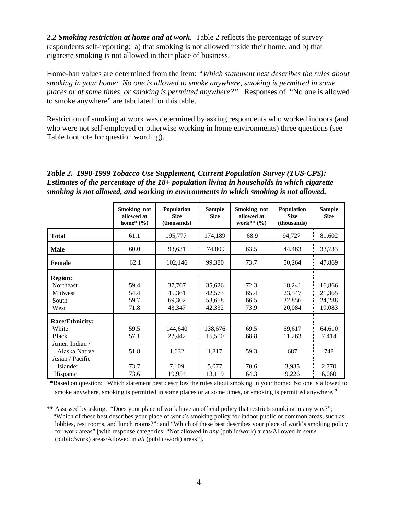*2.2 Smoking restriction at home and at work*. Table 2 reflects the percentage of survey respondents self-reporting: a) that smoking is not allowed inside their home, and b) that cigarette smoking is not allowed in their place of business.

Home-ban values are determined from the item: *"Which statement best describes the rules about smoking in your home: No one is allowed to smoke anywhere, smoking is permitted in some places or at some times, or smoking is permitted anywhere?"* Responses of "No one is allowed to smoke anywhere" are tabulated for this table.

Restriction of smoking at work was determined by asking respondents who worked indoors (and who were not self-employed or otherwise working in home environments) three questions (see Table footnote for question wording).

*Table 2. 1998-1999 Tobacco Use Supplement, Current Population Survey (TUS-CPS): Estimates of the percentage of the 18+ population living in households in which cigarette smoking is not allowed, and working in environments in which smoking is not allowed.* 

|                                                                                                            | Smoking not<br>allowed at<br>home* $(\% )$ | <b>Population</b><br><b>Size</b><br>(thousands) | <b>Sample</b><br><b>Size</b>         | Smoking not<br>allowed at<br>work** $(%$ | <b>Population</b><br><b>Size</b><br>(thousands) | <b>Sample</b><br><b>Size</b>         |
|------------------------------------------------------------------------------------------------------------|--------------------------------------------|-------------------------------------------------|--------------------------------------|------------------------------------------|-------------------------------------------------|--------------------------------------|
| <b>Total</b>                                                                                               | 61.1                                       | 195,777                                         | 174,189                              | 68.9                                     | 94,727                                          | 81,602                               |
| <b>Male</b>                                                                                                | 60.0                                       | 93,631                                          | 74,809                               | 63.5                                     | 44,463                                          | 33,733                               |
| <b>Female</b>                                                                                              | 62.1                                       | 102,146                                         | 99,380                               | 73.7                                     | 50,264                                          | 47,869                               |
| <b>Region:</b><br>Northeast<br>Midwest<br>South<br>West                                                    | 59.4<br>54.4<br>59.7<br>71.8               | 37,767<br>45,361<br>69,302<br>43,347            | 35,626<br>42,573<br>53,658<br>42,332 | 72.3<br>65.4<br>66.5<br>73.9             | 18,241<br>23,547<br>32,856<br>20,084            | 16,866<br>21,365<br>24,288<br>19,083 |
| Race/Ethnicity:<br>White<br><b>Black</b><br>Amer. Indian /<br>Alaska Native<br>Asian / Pacific<br>Islander | 59.5<br>57.1<br>51.8<br>73.7               | 144,640<br>22,442<br>1,632<br>7,109             | 138,676<br>15,500<br>1,817<br>5,077  | 69.5<br>68.8<br>59.3<br>70.6             | 69,617<br>11,263<br>687<br>3,935                | 64,610<br>7,414<br>748<br>2,770      |
| Hispanic                                                                                                   | 73.6                                       | 19,954                                          | 13,119                               | 64.3                                     | 9,226                                           | 6,060                                |

 \*Based on question: "Which statement best describes the rules about smoking in your home: No one is allowed to smoke anywhere, smoking is permitted in some places or at some times, or smoking is permitted anywhere."

<sup>\*\*</sup> Assessed by asking: "Does your place of work have an official policy that restricts smoking in any way?"; "Which of these best describes your place of work's smoking policy for indoor public or common areas, such as lobbies, rest rooms, and lunch rooms?"; and "Which of these best describes your place of work's smoking policy for work areas" [with response categories: "Not allowed in *any* (public/work) areas/Allowed in *some* (public/work) areas/Allowed in *all* (public/work) areas"].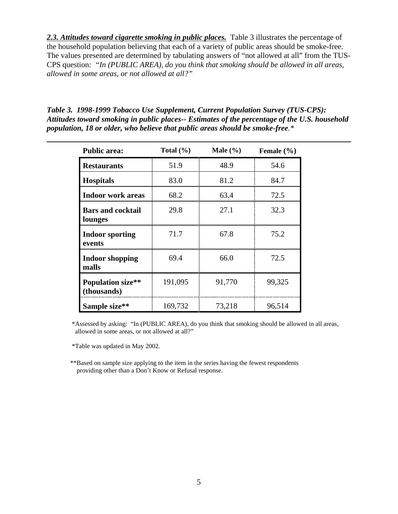2.3. Attitudes toward cigarette smoking in *public places*. Table 3 illustrates the percentage of the household population believing that each of a variety of public areas should be smoke-free. The values presented are determined by tabulating answers of "not allowed at all" from the TUS-CPS question: *"In (PUBLIC AREA), do you think that smoking should be allowed in all areas, allowed in some areas, or not allowed at all?"* 

*Table 3. 1998-1999 Tobacco Use Supplement, Current Population Survey (TUS-CPS): Attitudes toward smoking in public places-- Estimates of the percentage of the U.S. household population, 18 or older, who believe that public areas should be smoke-free.\** 

| <b>Public area:</b>                     | Total $(\% )$ | Male $(\% )$ | Female $(\% )$ |
|-----------------------------------------|---------------|--------------|----------------|
| <b>Restaurants</b>                      | 51.9          | 48.9         | 54.6           |
| <b>Hospitals</b>                        | 83.0          | 81.2         | 84.7           |
| <b>Indoor work areas</b>                | 68.2          | 63.4         | 72.5           |
| <b>Bars and cocktail</b><br>lounges     | 29.8          | 27.1         | 32.3           |
| <b>Indoor sporting</b><br>events        | 71.7          | 67.8         | 75.2           |
| <b>Indoor shopping</b><br>malls         | 69.4          | 66.0         | 72.5           |
| <b>Population size**</b><br>(thousands) | 191,095       | 91,770       | 99,325         |
| Sample size**                           | 169,732       | 73,218       | 96,514         |

 \*Assessed by asking: "In (PUBLIC AREA), do you think that smoking should be allowed in all areas, allowed in some areas, or not allowed at all?"

\*Table was updated in May 2002.

\*\*Based on sample size applying to the item in the series having the fewest respondents providing other than a Don't Know or Refusal response.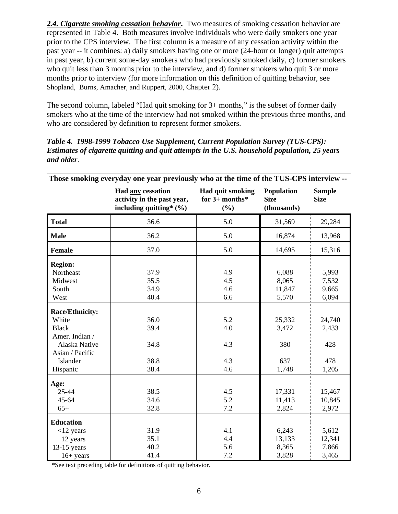*2.4. Cigarette smoking cessation behavior***.** Two measures of smoking cessation behavior are represented in Table 4. Both measures involve individuals who were daily smokers one year prior to the CPS interview. The first column is a measure of any cessation activity within the past year -- it combines: a) daily smokers having one or more (24-hour or longer) quit attempts in past year, b) current some-day smokers who had previously smoked daily, c) former smokers who quit less than 3 months prior to the interview, and d) former smokers who quit 3 or more months prior to interview (for more information on this definition of quitting behavior, see Shopland, Burns, Amacher, and Ruppert, 2000, Chapter 2).

The second column, labeled "Had quit smoking for 3+ months," is the subset of former daily smokers who at the time of the interview had not smoked within the previous three months, and who are considered by definition to represent former smokers.

*Table 4. 1998-1999 Tobacco Use Supplement, Current Population Survey (TUS-CPS): Estimates of cigarette quitting and quit attempts in the U.S. household population, 25 years and older*.

| Those smoking everyday one year previously who at the time of the TUS-CPS interview --                                        |                                                                                       |                                             |                                          |                                        |  |  |
|-------------------------------------------------------------------------------------------------------------------------------|---------------------------------------------------------------------------------------|---------------------------------------------|------------------------------------------|----------------------------------------|--|--|
|                                                                                                                               | <b>Had any cessation</b><br>activity in the past year,<br>including quitting* $(\% )$ | Had quit smoking<br>for $3+$ months*<br>(%) | Population<br><b>Size</b><br>(thousands) | <b>Sample</b><br><b>Size</b>           |  |  |
| <b>Total</b>                                                                                                                  | 36.6                                                                                  | 5.0                                         | 31,569                                   | 29,284                                 |  |  |
| <b>Male</b>                                                                                                                   | 36.2                                                                                  | 5.0                                         | 16,874                                   | 13,968                                 |  |  |
| <b>Female</b>                                                                                                                 | 37.0                                                                                  | 5.0                                         | 14,695                                   | 15,316                                 |  |  |
| <b>Region:</b><br>Northeast<br>Midwest<br>South<br>West                                                                       | 37.9<br>35.5<br>34.9<br>40.4                                                          | 4.9<br>4.5<br>4.6<br>6.6                    | 6,088<br>8,065<br>11,847<br>5,570        | 5,993<br>7,532<br>9,665<br>6,094       |  |  |
| <b>Race/Ethnicity:</b><br>White<br><b>Black</b><br>Amer. Indian /<br>Alaska Native<br>Asian / Pacific<br>Islander<br>Hispanic | 36.0<br>39.4<br>34.8<br>38.8<br>38.4                                                  | 5.2<br>4.0<br>4.3<br>4.3<br>4.6             | 25,332<br>3,472<br>380<br>637<br>1,748   | 24,740<br>2,433<br>428<br>478<br>1,205 |  |  |
| Age:<br>25-44<br>45-64<br>$65+$                                                                                               | 38.5<br>34.6<br>32.8                                                                  | 4.5<br>5.2<br>7.2                           | 17,331<br>11,413<br>2,824                | 15,467<br>10,845<br>2,972              |  |  |
| <b>Education</b><br>$<$ 12 years<br>12 years<br>$13-15$ years<br>$16+ years$                                                  | 31.9<br>35.1<br>40.2<br>41.4                                                          | 4.1<br>4.4<br>5.6<br>7.2                    | 6,243<br>13,133<br>8,365<br>3,828        | 5,612<br>12,341<br>7,866<br>3,465      |  |  |

\*See text preceding table for definitions of quitting behavior.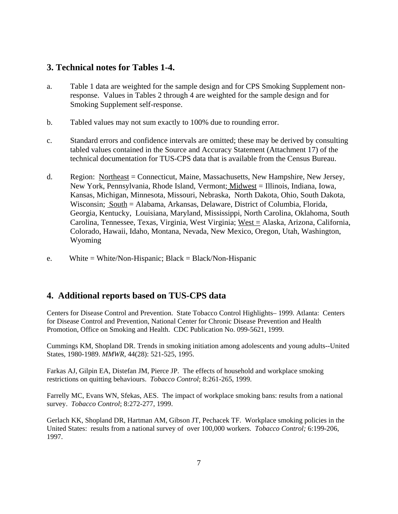#### **3. Technical notes for Tables 1-4.**

- a. Table 1 data are weighted for the sample design and for CPS Smoking Supplement nonresponse. Values in Tables 2 through 4 are weighted for the sample design and for Smoking Supplement self-response.
- b. Tabled values may not sum exactly to 100% due to rounding error.
- c. Standard errors and confidence intervals are omitted; these may be derived by consulting tabled values contained in the Source and Accuracy Statement (Attachment 17) of the technical documentation for TUS-CPS data that is available from the Census Bureau.
- d. Region: Northeast = Connecticut, Maine, Massachusetts, New Hampshire, New Jersey, New York, Pennsylvania, Rhode Island, Vermont; Midwest = Illinois, Indiana, Iowa, Kansas, Michigan, Minnesota, Missouri, Nebraska, North Dakota, Ohio, South Dakota, Wisconsin; South = Alabama, Arkansas, Delaware, District of Columbia, Florida, Georgia, Kentucky, Louisiana, Maryland, Mississippi, North Carolina, Oklahoma, South Carolina, Tennessee, Texas, Virginia, West Virginia; West = Alaska, Arizona, California, Colorado, Hawaii, Idaho, Montana, Nevada, New Mexico, Oregon, Utah, Washington, Wyoming
- e. White = White/Non-Hispanic; Black = Black/Non-Hispanic

#### **4. Additional reports based on TUS-CPS data**

Centers for Disease Control and Prevention. State Tobacco Control Highlights– 1999. Atlanta: Centers for Disease Control and Prevention, National Center for Chronic Disease Prevention and Health Promotion, Office on Smoking and Health. CDC Publication No. 099-5621, 1999.

Cummings KM, Shopland DR. Trends in smoking initiation among adolescents and young adults--United States, 1980-1989. *MMWR*, 44(28): 521-525, 1995.

Farkas AJ, Gilpin EA, Distefan JM, Pierce JP. The effects of household and workplace smoking restrictions on quitting behaviours. *Tobacco Control*; 8:261-265, 1999.

Farrelly MC, Evans WN, Sfekas, AES. The impact of workplace smoking bans: results from a national survey. *Tobacco Control*; 8:272-277, 1999.

Gerlach KK, Shopland DR, Hartman AM, Gibson JT, Pechacek TF. Workplace smoking policies in the United States: results from a national survey of over 100,000 workers. *Tobacco Control;* 6:199-206, 1997.